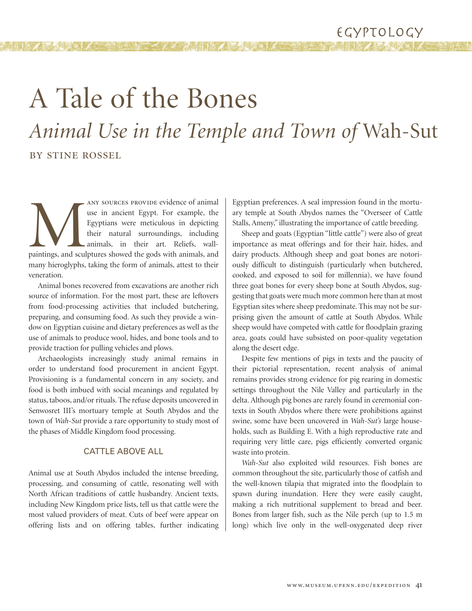# A Tale of the Bones *Animal Use in the Temple and Town of* Wah-Sut

# BY STINE ROSSEL

ANY SOURCES PROVIDE evidence of animal<br>use in ancient Egypt. For example, the<br>Egyptians were meticulous in depicting<br>their natural surroundings, including<br>animals, in their art. Reliefs, wall-<br>paintings, and sculptures sho use in ancient Egypt. For example, the Egyptians were meticulous in depicting their natural surroundings, including animals, in their art. Reliefs, wallmany hieroglyphs, taking the form of animals, attest to their veneration.

Animal bones recovered from excavations are another rich source of information. For the most part, these are leftovers from food-processing activities that included butchering, preparing, and consuming food. As such they provide a window on Egyptian cuisine and dietary preferences as well as the use of animals to produce wool, hides, and bone tools and to provide traction for pulling vehicles and plows.

Archaeologists increasingly study animal remains in order to understand food procurement in ancient Egypt. Provisioning is a fundamental concern in any society, and food is both imbued with social meanings and regulated by status, taboos, and/or rituals. The refuse deposits uncovered in Senwosret III's mortuary temple at South Abydos and the town of *Wah-Sut* provide a rare opportunity to study most of the phases of Middle Kingdom food processing.

#### CATTLE ABOVE ALL

Animal use at South Abydos included the intense breeding, processing, and consuming of cattle, resonating well with North African traditions of cattle husbandry. Ancient texts, including New Kingdom price lists, tell us that cattle were the most valued providers of meat. Cuts of beef were appear on offering lists and on offering tables, further indicating Egyptian preferences. A seal impression found in the mortuary temple at South Abydos names the "Overseer of Cattle Stalls, Ameny," illustrating the importance of cattle breeding.

Sheep and goats (Egyptian "little cattle") were also of great importance as meat offerings and for their hair, hides, and dairy products. Although sheep and goat bones are notoriously difficult to distinguish (particularly when butchered, cooked, and exposed to soil for millennia), we have found three goat bones for every sheep bone at South Abydos, suggesting that goats were much more common here than at most Egyptian sites where sheep predominate. This may not be surprising given the amount of cattle at South Abydos. While sheep would have competed with cattle for floodplain grazing area, goats could have subsisted on poor-quality vegetation along the desert edge.

Despite few mentions of pigs in texts and the paucity of their pictorial representation, recent analysis of animal remains provides strong evidence for pig rearing in domestic settings throughout the Nile Valley and particularly in the delta. Although pig bones are rarely found in ceremonial contexts in South Abydos where there were prohibitions against swine, some have been uncovered in *Wah-Sut's* large households, such as Building E. With a high reproductive rate and requiring very little care, pigs efficiently converted organic waste into protein.

*Wah-Sut* also exploited wild resources. Fish bones are common throughout the site, particularly those of catfish and the well-known tilapia that migrated into the floodplain to spawn during inundation. Here they were easily caught, making a rich nutritional supplement to bread and beer. Bones from larger fish, such as the Nile perch (up to 1.5 m long) which live only in the well-oxygenated deep river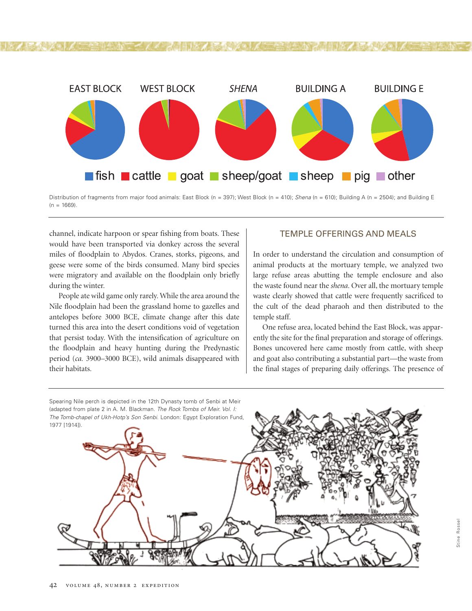

Distribution of fragments from major food animals: East Block (n = 397); West Block (n = 410); *Shena* (n = 610); Building A (n = 2504); and Building E  $(n = 1669)$ .

channel, indicate harpoon or spear fishing from boats. These would have been transported via donkey across the several miles of floodplain to Abydos. Cranes, storks, pigeons, and geese were some of the birds consumed. Many bird species were migratory and available on the floodplain only briefly during the winter.

People ate wild game only rarely. While the area around the Nile floodplain had been the grassland home to gazelles and antelopes before 3000 BCE, climate change after this date turned this area into the desert conditions void of vegetation that persist today. With the intensification of agriculture on the floodplain and heavy hunting during the Predynastic period (*ca.* 3900–3000 BCE), wild animals disappeared with their habitats.

## TEMPLE OFFERINGS AND MEALS

In order to understand the circulation and consumption of animal products at the mortuary temple, we analyzed two large refuse areas abutting the temple enclosure and also the waste found near the *shena*. Over all, the mortuary temple waste clearly showed that cattle were frequently sacrificed to the cult of the dead pharaoh and then distributed to the temple staff.

One refuse area, located behind the East Block, was apparently the site for the final preparation and storage of offerings. Bones uncovered here came mostly from cattle, with sheep and goat also contributing a substantial part—the waste from the final stages of preparing daily offerings. The presence of